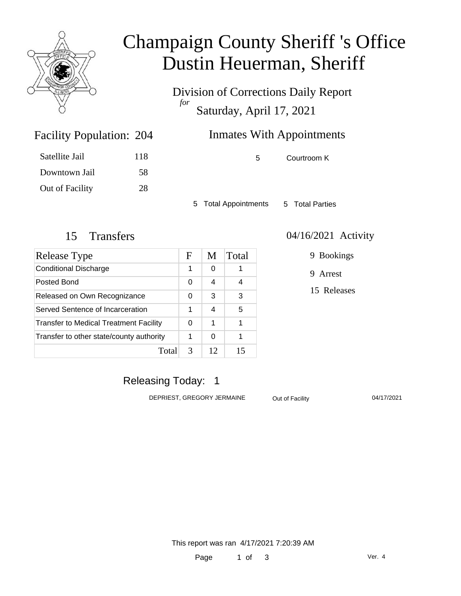

# Champaign County Sheriff 's Office Dustin Heuerman, Sheriff

Division of Corrections Daily Report *for* Saturday, April 17, 2021

## Inmates With Appointments

| Satellite Jail  | 118 |
|-----------------|-----|
| Downtown Jail   | 58  |
| Out of Facility | 28  |

Facility Population: 204

5 Courtroom K

5 Total Appointments 5 Total Parties

| Release Type                                  | F | M  | Total |
|-----------------------------------------------|---|----|-------|
| <b>Conditional Discharge</b>                  | 1 | 0  |       |
| Posted Bond                                   | 0 | 4  | 4     |
| Released on Own Recognizance                  |   | 3  | 3     |
| Served Sentence of Incarceration              | 1 | 4  | 5     |
| <b>Transfer to Medical Treatment Facility</b> |   | 1  | 1     |
| Transfer to other state/county authority      | 1 | 0  | 1     |
| Tota                                          | 3 | 12 | 15    |

#### 15 Transfers 04/16/2021 Activity

9 Bookings

9 Arrest

15 Releases

### Releasing Today: 1

DEPRIEST, GREGORY JERMAINE Out of Facility 04/17/2021

This report was ran 4/17/2021 7:20:39 AM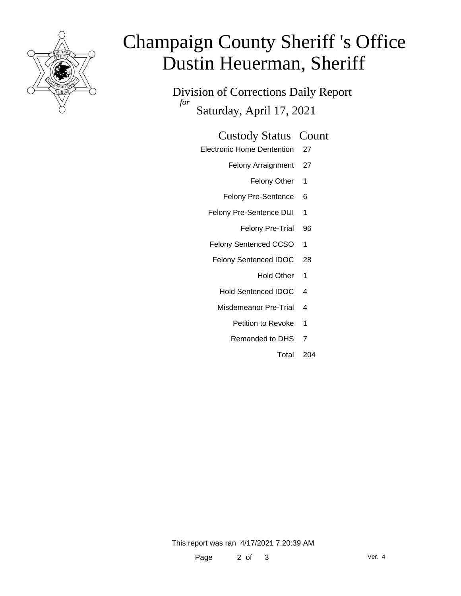

# Champaign County Sheriff 's Office Dustin Heuerman, Sheriff

Division of Corrections Daily Report *for* Saturday, April 17, 2021

#### Custody Status Count

- Electronic Home Dentention 27
	- Felony Arraignment 27
		- Felony Other 1
	- Felony Pre-Sentence 6
	- Felony Pre-Sentence DUI 1
		- Felony Pre-Trial 96
	- Felony Sentenced CCSO 1
	- Felony Sentenced IDOC 28
		- Hold Other 1
		- Hold Sentenced IDOC 4
		- Misdemeanor Pre-Trial 4
			- Petition to Revoke 1
			- Remanded to DHS 7
				- Total 204

This report was ran 4/17/2021 7:20:39 AM